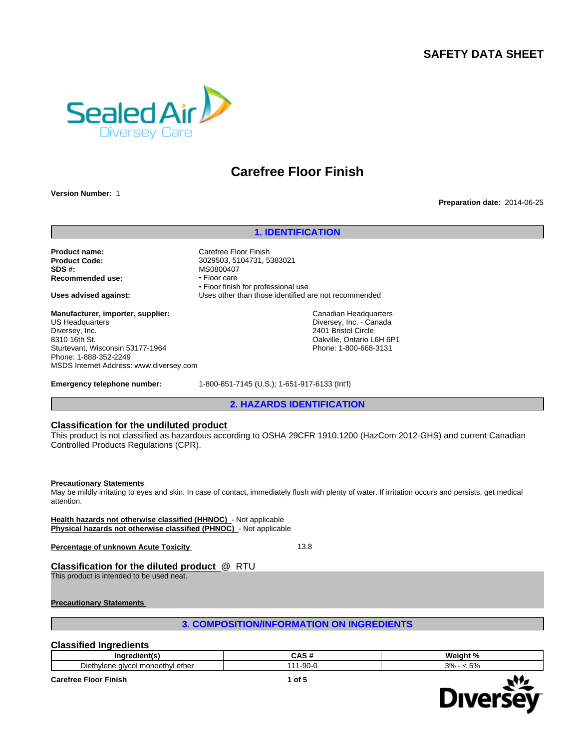# **SAFETY DATA SHEET**



# **Carefree Floor Finish**

**Version Number:** 1

### **Preparation date:** 2014-06-25

# **1. IDENTIFICATION**

**Product name:** Carefree Floor Finish **Product Code:** 3029503, 5104731, 5383021 **Recommended use:** •Floorcare

**Manufacturer, importer, supplier:** US Headquarters Diversey, Inc. 8310 16th St. Sturtevant, Wisconsin 53177-1964 Phone: 1-888-352-2249 MSDS Internet Address: www.diversey.com

**SDS #:** MS0800407 • Floor finish for professional use **Uses advised against:** Uses other than those identified are not recommended

> Canadian Headquarters Diversey, Inc. - Canada 2401 Bristol Circle Oakville, Ontario L6H 6P1 Phone: 1-800-668-3131

**Emergency telephone number:** 1-800-851-7145 (U.S.); 1-651-917-6133 (Int'l)

**2. HAZARDS IDENTIFICATION**

### **Classification for the undiluted product**

This product is not classified as hazardous according to OSHA 29CFR 1910.1200 (HazCom 2012-GHS) and current Canadian Controlled Products Regulations (CPR).

#### **Precautionary Statements**

May be mildly irritating to eyes and skin. In case of contact, immediately flush with plenty of water. If irritation occurs and persists, get medical attention.

**Health hazards not otherwise classified (HHNOC)** - Not applicable **Physical hazards not otherwise classified (PHNOC)** - Not applicable

**Percentage of unknown Acute Toxicity 13.8** 

# **Classification for the diluted product** @ RTU

This product is intended to be used neat.

**Precautionary Statements** 

**3. COMPOSITION/INFORMATION ON INGREDIENTS**

### **Classified Ingredients**

| Ina<br>edieni.                                                                                                   | $\ddot{\phantom{1}}$<br>, ,, | <br>aldni<br>- |
|------------------------------------------------------------------------------------------------------------------|------------------------------|----------------|
| $\overline{\phantom{a}}$<br>ethel<br>∟ueth∪<br>monoethyl<br>، ۱۵۵۴<br>$\sim$ $\sim$ $\sim$<br>יור<br>.<br>.<br>. | $-90-$<br>.                  | 20/<br>$-\sim$ |

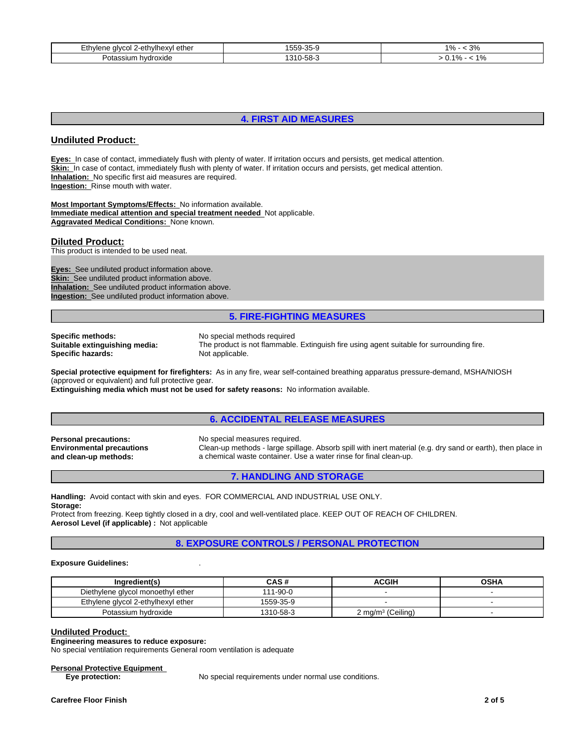| ∃th∨len<br>∴ 2-ethylhexyi ⊆<br>alvcol<br>∟ether | $\sim$ $\sim$<br>55u<br>$25 - 1$<br><br>$\overline{\phantom{a}}$ | 20 <sub>0</sub><br>1 O.<br>.,<br>70<br>- J 70       |
|-------------------------------------------------|------------------------------------------------------------------|-----------------------------------------------------|
| hvdroxide<br>Pota.<br>រហោ                       | 310<br>J-58-                                                     | $\overline{A}$ $\overline{O}$<br>40/<br>70.<br>- 70 |

# **4. FIRST AID MEASURES**

# **Undiluted Product:**

**Eyes:** In case of contact, immediately flush with plenty of water. If irritation occurs and persists, get medical attention. **Skin:** In case of contact, immediately flush with plenty of water. If irritation occurs and persists, get medical attention. **Inhalation:** No specific first aid measures are required. **Ingestion:** Rinse mouth with water.

**Most Important Symptoms/Effects:** No information available. **Immediate medical attention and special treatment needed** Not applicable. **Aggravated Medical Conditions:** None known.

### **Diluted Product:**

This product is intended to be used neat.

**Eyes:** See undiluted product information above. **Skin:** See undiluted product information above. **Inhalation:** See undiluted product information above. **Ingestion:** See undiluted product information above.

## **5. FIRE-FIGHTING MEASURES**

**Specific methods:** No special methods required<br> **Suitable extinguishing media:** The product is not flammable **Specific hazards:** Not applicable.

The product is not flammable. Extinguish fire using agent suitable for surrounding fire.

**Special protective equipment for firefighters:** As in any fire, wear self-contained breathing apparatus pressure-demand, MSHA/NIOSH (approved or equivalent) and full protective gear.

**Extinguishing media which must not be used for safety reasons:** No information available.

## **6. ACCIDENTAL RELEASE MEASURES**

**Personal precautions:** No special measures required. **Environmental precautions and clean-up methods:**

Clean-up methods - large spillage. Absorb spill with inert material (e.g. dry sand or earth), then place in a chemical waste container. Use a water rinse for final clean-up.

## **7. HANDLING AND STORAGE**

**Handling:** Avoid contact with skin and eyes. FOR COMMERCIAL AND INDUSTRIAL USE ONLY. **Storage:**

Protect from freezing. Keep tightly closed in a dry, cool and well-ventilated place. KEEP OUT OF REACH OF CHILDREN. **Aerosol Level (if applicable) :** Not applicable

# **8. EXPOSURE CONTROLS / PERSONAL PROTECTION**

#### **Exposure Guidelines:** .

| Ingredient(s)                      | CAS #     | ACGIH                | <b>OSHA</b> |
|------------------------------------|-----------|----------------------|-------------|
| Diethylene glycol monoethyl ether  | 111-90-0  |                      |             |
| Ethylene glycol 2-ethylhexyl ether | 1559-35-9 |                      |             |
| Potassium hydroxide                | 1310-58-3 | 2 mg/m $3$ (Ceiling) |             |

#### **Undiluted Product:**

**Engineering measures to reduce exposure:**

No special ventilation requirements General room ventilation is adequate

#### **Personal Protective Equipment**

**Eye protection:** No special requirements under normal use conditions.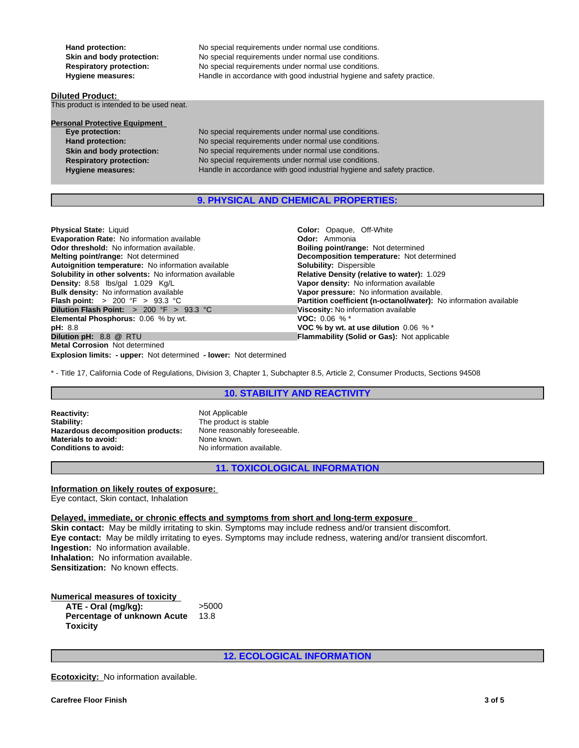Hand protection: No special requirements under normal use conditions. **Skin and body protection:** No special requirements under normal use conditions. **Respiratory protection:** No special requirements under normal use conditions.<br> **Hygiene measures:** Handle in accordance with good industrial hygiene and

**Diluted Product:** 

This product is intended to be used neat.

## **Personal Protective Equipment**

**Eye protection:** No special requirements under normal use conditions. Hand protection: No special requirements under normal use conditions. **Skin and body protection:** No special requirements under normal use conditions. **Respiratory protection:** No special requirements under normal use conditions. **Hygiene measures:** Handle in accordance with good industrial hygiene and safety practice.

Handle in accordance with good industrial hygiene and safety practice.

# **9. PHYSICAL AND CHEMICAL PROPERTIES:**

**Physical State:** Liquid **Color: Color:** Opaque, Off-White **Evaporation Rate:** No information available **Color: Color: Ammonia Evaporation Rate: No information available Odor threshold: No information available. Melting point/range:** Not determined **Decomposition temperature:** Not determined **Autoignition temperature:** Not determined **Autoignition temperature:** Not determined **Autoignition temperature:** No information available **Solubility:** Dispersible **Solubility in other solvents:** No information available **Density:** 8.58 lbs/gal 1.029 Kg/L **Density:** 8.58 lbs/gal 1.029 Kg/L **Vapor density:** No information available **Bulk density:** No information available **Bulk density:** No information available **Bulk density:** No information available **Vapor pressure:** No information available.<br> **Flash point:** > 200 °F > 93.3 °C **Partition coefficient (n-octanol/water):** N **Dilution Flash Point:** > 200 °F > 93.3 °C **Viscosity:** No information available **Elemental Phosphorus:** 0.06 % by wt. **VOC:** 0.06 % \* **VOC:** 0.06 % \* **pH:** 8.8 **pH:** 8.8 **VOC % by wt. at use dilution** 0.06 % \* **Metal Corrosion** Not determined

**Explosion limits: - upper:** Not determined **- lower:** Not determined

**Boiling point/range: Not determined** Partition coefficient (n-octanol/water): No information available **Flammability (Solid or Gas):** Not applicable

\* - Title 17, California Code of Regulations, Division 3, Chapter 1, Subchapter 8.5, Article 2, Consumer Products, Sections 94508

# **10. STABILITY AND REACTIVITY**

**Reactivity:** Not Applicable<br> **Stability:** The product is **Hazardous decomposition products:** None reasonably foreseeable. **Materials to avoid:** None known.<br> **Conditions to avoid:** No information

The product is stable **Conditions to avoid:** No information available.

**11. TOXICOLOGICAL INFORMATION**

**Information on likely routes of exposure:**  Eye contact, Skin contact, Inhalation

**Delayed, immediate, or chronic effects and symptoms from short and long-term exposure** 

**Skin contact:** May be mildly irritating to skin. Symptoms may include redness and/or transient discomfort. **Eye contact:** May be mildly irritating to eyes. Symptoms may include redness, watering and/or transient discomfort. **Ingestion:** No information available. **Inhalation:** No information available. **Sensitization:** No known effects.

#### **Numerical measures of toxicity ATE - Oral (mg/kg):** >5000 **Percentage of unknown Acute Toxicity** 13.8

**12. ECOLOGICAL INFORMATION**

**Ecotoxicity:** No information available.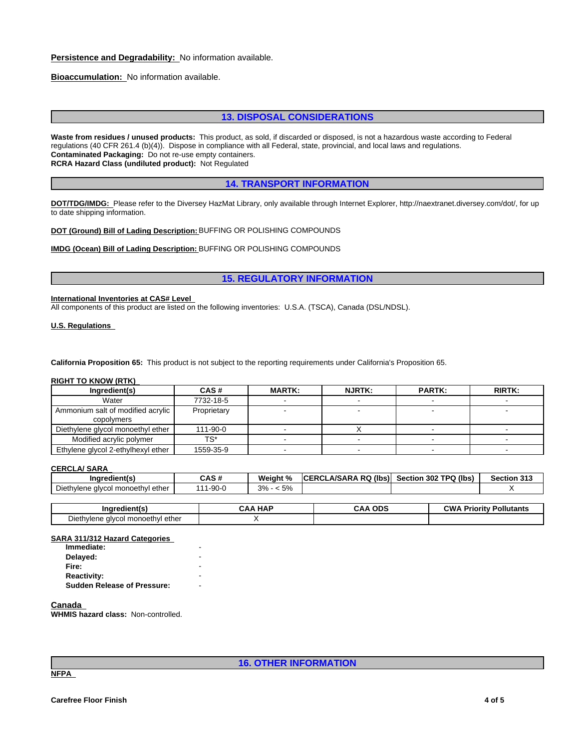# **Persistence and Degradability:** No information available.

**Bioaccumulation:** No information available.

# **13. DISPOSAL CONSIDERATIONS**

**Waste from residues / unused products:** This product, as sold, if discarded or disposed, is not a hazardous waste according to Federal regulations (40 CFR 261.4 (b)(4)). Dispose in compliance with all Federal, state, provincial, and local laws and regulations. **Contaminated Packaging:** Do not re-use empty containers. **RCRA Hazard Class (undiluted product):** Not Regulated

**14. TRANSPORT INFORMATION**

**DOT/TDG/IMDG:** Please refer to the Diversey HazMat Library, only available through Internet Explorer, http://naextranet.diversey.com/dot/, for up to date shipping information.

**DOT (Ground) Bill of Lading Description:** BUFFING OR POLISHING COMPOUNDS

**IMDG (Ocean) Bill of Lading Description:** BUFFING OR POLISHING COMPOUNDS

### **15. REGULATORY INFORMATION**

## **International Inventories at CAS# Level**

All components of this product are listed on the following inventories: U.S.A. (TSCA), Canada (DSL/NDSL).

**U.S. Regulations** 

**California Proposition 65:** This product is not subject to the reporting requirements under California's Proposition 65.

#### **RIGHT TO KNOW (RTK)**

| Ingredient(s)                                     | CAS#        | <b>MARTK:</b> | <b>NJRTK:</b> | <b>PARTK:</b> | <b>RIRTK:</b> |
|---------------------------------------------------|-------------|---------------|---------------|---------------|---------------|
| Water                                             | 7732-18-5   |               |               |               |               |
| Ammonium salt of modified acrylic  <br>copolymers | Proprietary |               |               |               |               |
| Diethylene glycol monoethyl ether                 | 111-90-0    |               |               |               |               |
| Modified acrylic polymer                          | TS*         |               |               |               |               |
| Ethylene glycol 2-ethylhexyl ether                | 1559-35-9   |               |               |               |               |

#### **CERCLA/ SARA**

| Ingredient(s                                 | CAS #     | Weight %                   | (lbs)<br><b>RQ</b><br><b>A/SARA</b><br><b>ICERC</b> | າ 302 TPQ (lbs)<br><b>Section</b> | <b>Section 313</b> |
|----------------------------------------------|-----------|----------------------------|-----------------------------------------------------|-----------------------------------|--------------------|
| Diethvlene<br>ether<br>l monoethvl<br>alvcol | $-90 - C$ | 5%<br>$\sim$<br>∽.<br>J 70 |                                                     |                                   |                    |

| Ingredient(s                                             | <b>CAA HAF</b> | <b>ODS</b><br>СAА | วw<br>Prior<br><b>Pollutants</b><br>י†ות |
|----------------------------------------------------------|----------------|-------------------|------------------------------------------|
| - '<br>Diethylene<br>I monoethyl ether<br>` alvcol<br>ne |                |                   |                                          |

#### **SARA 311/312 Hazard Categories**

| - |  |
|---|--|
|   |  |
|   |  |
| - |  |
|   |  |

**Canada** 

**WHMIS hazard class:** Non-controlled.

**16. OTHER INFORMATION**

**NFPA**